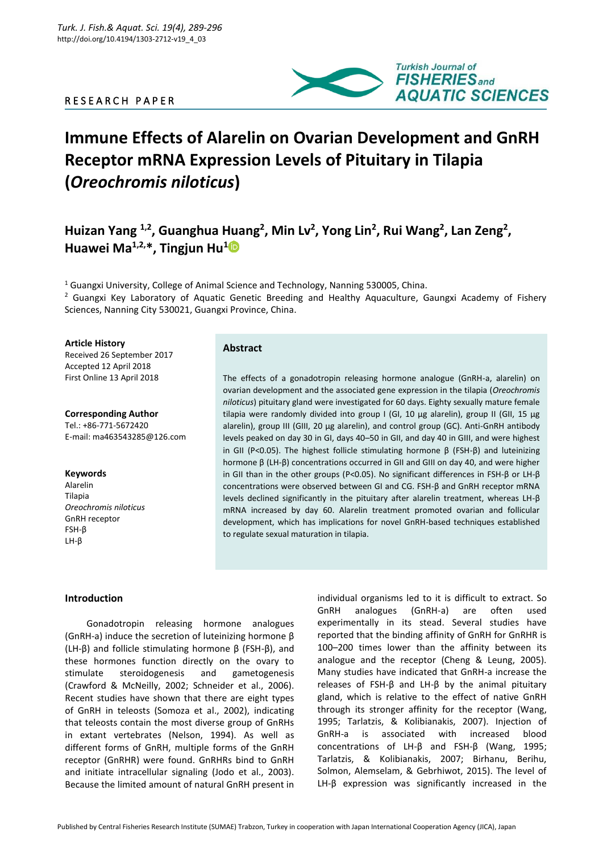# R E S E A R C H P A P E R



# **Immune Effects of Alarelin on Ovarian Development and GnRH Receptor mRNA Expression Levels of Pituitary in Tilapia (***Oreochromis niloticus***)**

Huizan Yang <sup>1,2</sup>, Guanghua Huang<sup>2</sup>, Min Lv<sup>2</sup>, Yong Lin<sup>2</sup>, Rui Wang<sup>2</sup>, Lan Zeng<sup>2</sup>, **Huawei Ma1,2,\*, Tingjun Hu<sup>1</sup>**

<sup>1</sup> Guangxi University, College of Animal Science and Technology, Nanning 530005, China. <sup>2</sup> Guangxi Key Laboratory of Aquatic Genetic Breeding and Healthy Aquaculture, Gaungxi Academy of Fishery Sciences, Nanning City 530021, Guangxi Province, China.

**Article History**

Received 26 September 2017 Accepted 12 April 2018 First Online 13 April 2018

**Corresponding Author** Tel.: +86-771-5672420 E-mail: ma463543285@126.com

#### **Keywords**

Alarelin **Tilania** *Oreochromis niloticus* GnRH receptor FSH-β LH-β

# **Abstract**

The effects of a gonadotropin releasing hormone analogue (GnRH-a, alarelin) on ovarian development and the associated gene expression in the tilapia (*Oreochromis niloticus*) pituitary gland were investigated for 60 days. Eighty sexually mature female tilapia were randomly divided into group I (GI, 10 μg alarelin), group II (GII, 15 μg alarelin), group III (GIII, 20 μg alarelin), and control group (GC). Anti-GnRH antibody levels peaked on day 30 in GI, days 40–50 in GII, and day 40 in GIII, and were highest in GII (P<0.05). The highest follicle stimulating hormone β (FSH-β) and luteinizing hormone β (LH-β) concentrations occurred in GII and GIII on day 40, and were higher in GII than in the other groups (P<0.05). No significant differences in FSH-β or LH-β concentrations were observed between GI and CG. FSH-β and GnRH receptor mRNA levels declined significantly in the pituitary after alarelin treatment, whereas LH-β mRNA increased by day 60. Alarelin treatment promoted ovarian and follicular development, which has implications for novel GnRH-based techniques established to regulate sexual maturation in tilapia.

## **Introduction**

Gonadotropin releasing hormone analogues (GnRH-a) induce the secretion of luteinizing hormone β (LH-β) and follicle stimulating hormone β (FSH-β), and these hormones function directly on the ovary to stimulate steroidogenesis and gametogenesis (Crawford & McNeilly, 2002; Schneider et al., 2006). Recent studies have shown that there are eight types of GnRH in teleosts (Somoza et al., 2002), indicating that teleosts contain the most diverse group of GnRHs in extant vertebrates (Nelson, 1994). As well as different forms of GnRH, multiple forms of the GnRH receptor (GnRHR) were found. GnRHRs bind to GnRH and initiate intracellular signaling (Jodo et al., 2003). Because the limited amount of natural GnRH present in

individual organisms led to it is difficult to extract. So GnRH analogues (GnRH-a) are often used experimentally in its stead. Several studies have reported that the binding affinity of GnRH for GnRHR is 100–200 times lower than the affinity between its analogue and the receptor (Cheng & Leung, 2005). Many studies have indicated that GnRH-a increase the releases of FSH-β and LH-β by the animal pituitary gland, which is relative to the effect of native GnRH through its stronger affinity for the receptor (Wang, 1995; Tarlatzis, & Kolibianakis, 2007). Injection of GnRH-a is associated with increased blood concentrations of LH-β and FSH-β (Wang, 1995; Tarlatzis, & Kolibianakis, 2007; Birhanu, Berihu, Solmon, Alemselam, & Gebrhiwot, 2015). The level of LH-β expression was significantly increased in the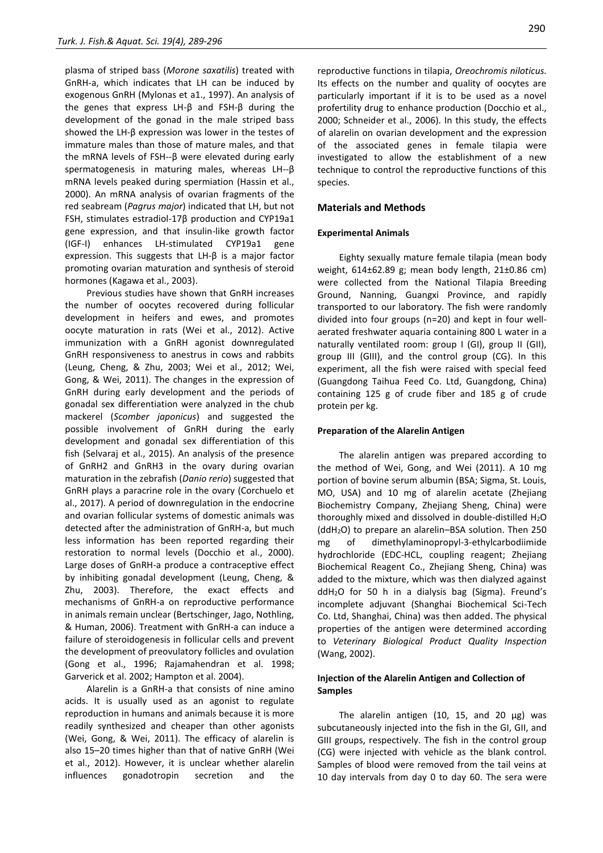plasma of striped bass (*Morone saxatilis*) treated with GnRH-a, which indicates that LH can be induced by exogenous GnRH (Mylonas et a1., 1997). An analysis of the genes that express LH-β and FSH-β during the development of the gonad in the male striped bass showed the LH-β expression was lower in the testes of immature males than those of mature males, and that the mRNA levels of FSH--β were elevated during early spermatogenesis in maturing males, whereas LH--β mRNA levels peaked during spermiation (Hassin et al., 2000). An mRNA analysis of ovarian fragments of the red seabream (*Pagrus major*) indicated that LH, but not FSH, stimulates estradiol-17β production and CYP19a1 gene expression, and that insulin-like growth factor (IGF-I) enhances LH-stimulated CYP19a1 gene expression. This suggests that LH-β is a major factor promoting ovarian maturation and synthesis of steroid hormones (Kagawa et al., 2003).

Previous studies have shown that GnRH increases the number of oocytes recovered during follicular development in heifers and ewes, and promotes oocyte maturation in rats (Wei et al., 2012). Active immunization with a GnRH agonist downregulated GnRH responsiveness to anestrus in cows and rabbits (Leung, Cheng, & Zhu, 2003; Wei et al., 2012; Wei, Gong, & Wei, 2011). The changes in the expression of GnRH during early development and the periods of gonadal sex differentiation were analyzed in the chub mackerel (*Scomber japonicus*) and suggested the possible involvement of GnRH during the early development and gonadal sex differentiation of this fish (Selvaraj et al., 2015). An analysis of the presence of GnRH2 and GnRH3 in the ovary during ovarian maturation in the zebrafish (*Danio rerio*) suggested that GnRH plays a paracrine role in the ovary (Corchuelo et al., 2017). A period of downregulation in the endocrine and ovarian follicular systems of domestic animals was detected after the administration of GnRH-a, but much less information has been reported regarding their restoration to normal levels (Docchio et al., 2000). Large doses of GnRH-a produce a contraceptive effect by inhibiting gonadal development (Leung, Cheng, & Zhu, 2003). Therefore, the exact effects and mechanisms of GnRH-a on reproductive performance in animals remain unclear (Bertschinger, Jago, Nothling, & Human, 2006). Treatment with GnRH-a can induce a failure of steroidogenesis in follicular cells and prevent the development of preovulatory follicles and ovulation (Gong et al., 1996; Rajamahendran et al. 1998; Garverick et al. 2002; Hampton et al. 2004).

Alarelin is a GnRH-a that consists of nine amino acids. It is usually used as an agonist to regulate reproduction in humans and animals because it is more readily synthesized and cheaper than other agonists (Wei, Gong, & Wei, 2011). The efficacy of alarelin is also 15–20 times higher than that of native GnRH (Wei et al., 2012). However, it is unclear whether alarelin influences gonadotropin secretion and the

reproductive functions in tilapia, *Oreochromis niloticus.* Its effects on the number and quality of oocytes are particularly important if it is to be used as a novel profertility drug to enhance production (Docchio et al., 2000; Schneider et al., 2006). In this study, the effects of alarelin on ovarian development and the expression of the associated genes in female tilapia were investigated to allow the establishment of a new technique to control the reproductive functions of this species.

#### **Materials and Methods**

#### **Experimental Animals**

Eighty sexually mature female tilapia (mean body weight, 614±62.89 g; mean body length, 21±0.86 cm) were collected from the National Tilapia Breeding Ground, Nanning, Guangxi Province, and rapidly transported to our laboratory. The fish were randomly divided into four groups (n=20) and kept in four wellaerated freshwater aquaria containing 800 L water in a naturally ventilated room: group I (GI), group II (GII), group III (GIII), and the control group (CG). In this experiment, all the fish were raised with special feed (Guangdong Taihua Feed Co. Ltd, Guangdong, China) containing 125 g of crude fiber and 185 g of crude protein per kg.

#### **Preparation of the Alarelin Antigen**

The alarelin antigen was prepared according to the method of Wei, Gong, and Wei (2011). A 10 mg portion of bovine serum albumin (BSA; Sigma, St. Louis, MO, USA) and 10 mg of alarelin acetate (Zhejiang Biochemistry Company, Zhejiang Sheng, China) were thoroughly mixed and dissolved in double-distilled  $H_2O$ (ddH2O) to prepare an alarelin–BSA solution. Then 250 mg of dimethylaminopropyl-3-ethylcarbodiimide hydrochloride (EDC-HCL, coupling reagent; Zhejiang Biochemical Reagent Co., Zhejiang Sheng, China) was added to the mixture, which was then dialyzed against ddH2O for 50 h in a dialysis bag (Sigma). Freund's incomplete adjuvant (Shanghai Biochemical Sci-Tech Co. Ltd, Shanghai, China) was then added. The physical properties of the antigen were determined according to *Veterinary Biological Product Quality Inspection* (Wang, 2002).

# **Injection of the Alarelin Antigen and Collection of Samples**

The alarelin antigen (10, 15, and 20  $\mu$ g) was subcutaneously injected into the fish in the GI, GII, and GIII groups, respectively. The fish in the control group (CG) were injected with vehicle as the blank control. Samples of blood were removed from the tail veins at 10 day intervals from day 0 to day 60. The sera were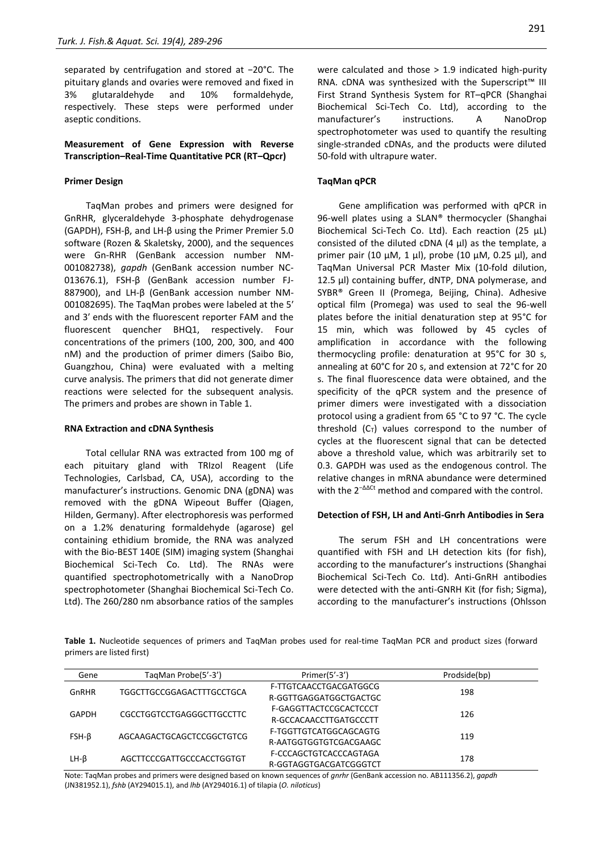separated by centrifugation and stored at −20°C. The pituitary glands and ovaries were removed and fixed in 3% glutaraldehyde and 10% formaldehyde, respectively. These steps were performed under aseptic conditions.

## **Measurement of Gene Expression with Reverse Transcription–Real-Time Quantitative PCR (RT–Qpcr)**

#### **Primer Design**

TaqMan probes and primers were designed for GnRHR, glyceraldehyde 3-phosphate dehydrogenase (GAPDH), FSH-β, and LH-β using the Primer Premier 5.0 software (Rozen & Skaletsky, 2000), and the sequences were Gn-RHR (GenBank accession number NM-001082738), *gapdh* (GenBank accession number NC-013676.1), FSH-β (GenBank accession number FJ-887900), and LH-β (GenBank accession number NM-001082695). The TaqMan probes were labeled at the 5′ and 3′ ends with the fluorescent reporter FAM and the fluorescent quencher BHQ1, respectively. Four concentrations of the primers (100, 200, 300, and 400 nM) and the production of primer dimers (Saibo Bio, Guangzhou, China) were evaluated with a melting curve analysis. The primers that did not generate dimer reactions were selected for the subsequent analysis. The primers and probes are shown in Table 1.

#### **RNA Extraction and cDNA Synthesis**

Total cellular RNA was extracted from 100 mg of each pituitary gland with TRIzol Reagent (Life Technologies, Carlsbad, CA, USA), according to the manufacturer's instructions. Genomic DNA (gDNA) was removed with the gDNA Wipeout Buffer (Qiagen, Hilden, Germany). After electrophoresis was performed on a 1.2% denaturing formaldehyde (agarose) gel containing ethidium bromide, the RNA was analyzed with the Bio-BEST 140E (SIM) imaging system (Shanghai Biochemical Sci-Tech Co. Ltd). The RNAs were quantified spectrophotometrically with a NanoDrop spectrophotometer (Shanghai Biochemical Sci-Tech Co. Ltd). The 260/280 nm absorbance ratios of the samples were calculated and those > 1.9 indicated high-purity RNA. cDNA was synthesized with the Superscript™ III First Strand Synthesis System for RT–qPCR (Shanghai Biochemical Sci-Tech Co. Ltd), according to the manufacturer's instructions. A NanoDrop spectrophotometer was used to quantify the resulting single-stranded cDNAs, and the products were diluted 50-fold with ultrapure water.

#### **TaqMan qPCR**

Gene amplification was performed with qPCR in 96-well plates using a SLAN® thermocycler (Shanghai Biochemical Sci-Tech Co. Ltd). Each reaction (25 μL) consisted of the diluted cDNA (4 μl) as the template, a primer pair (10 μM, 1 μl), probe (10 μM, 0.25 μl), and TaqMan Universal PCR Master Mix (10-fold dilution, 12.5 μl) containing buffer, dNTP, DNA polymerase, and SYBR® Green II (Promega, Beijing, China). Adhesive optical film (Promega) was used to seal the 96-well plates before the initial denaturation step at 95°C for 15 min, which was followed by 45 cycles of amplification in accordance with the following thermocycling profile: denaturation at 95°C for 30 s, annealing at 60°C for 20 s, and extension at 72°C for 20 s. The final fluorescence data were obtained, and the specificity of the qPCR system and the presence of primer dimers were investigated with a dissociation protocol using a gradient from 65 °C to 97 °C. The cycle threshold  $(C_T)$  values correspond to the number of cycles at the fluorescent signal that can be detected above a threshold value, which was arbitrarily set to 0.3. GAPDH was used as the endogenous control. The relative changes in mRNA abundance were determined with the 2<sup>-ΔΔCt</sup> method and compared with the control.

#### **Detection of FSH, LH and Anti-Gnrh Antibodies in Sera**

The serum FSH and LH concentrations were quantified with FSH and LH detection kits (for fish), according to the manufacturer's instructions (Shanghai Biochemical Sci-Tech Co. Ltd). Anti-GnRH antibodies were detected with the anti-GNRH Kit (for fish; Sigma), according to the manufacturer's instructions (Ohlsson

**Table 1.** Nucleotide sequences of primers and TaqMan probes used for real-time TaqMan PCR and product sizes (forward primers are listed first)

| Gene    | TagMan Probe(5'-3')       | Primer $(5'-3')$       | Prodside(bp) |
|---------|---------------------------|------------------------|--------------|
| GnRHR   | TGGCTTGCCGGAGACTTTGCCTGCA | F-TTGTCAACCTGACGATGGCG | 198          |
|         |                           | R-GGTTGAGGATGGCTGACTGC |              |
| GAPDH   | CGCCTGGTCCTGAGGGCTTGCCTTC | F-GAGGTTACTCCGCACTCCCT | 126          |
|         |                           | R-GCCACAACCTTGATGCCCTT |              |
| $FSH-B$ | AGCAAGACTGCAGCTCCGGCTGTCG | F-TGGTTGTCATGGCAGCAGTG | 119          |
|         |                           | R-AATGGTGGTGTCGACGAAGC |              |
| $LH-B$  | AGCTTCCCGATTGCCCACCTGGTGT | F-CCCAGCTGTCACCCAGTAGA | 178          |
|         |                           | R-GGTAGGTGACGATCGGGTCT |              |

Note: TaqMan probes and primers were designed based on known sequences of *gnrhr* (GenBank accession no. AB111356.2), *gapdh* (JN381952.1), *fshb* (AY294015.1), and *lhb* (AY294016.1) of tilapia (*O. niloticus*)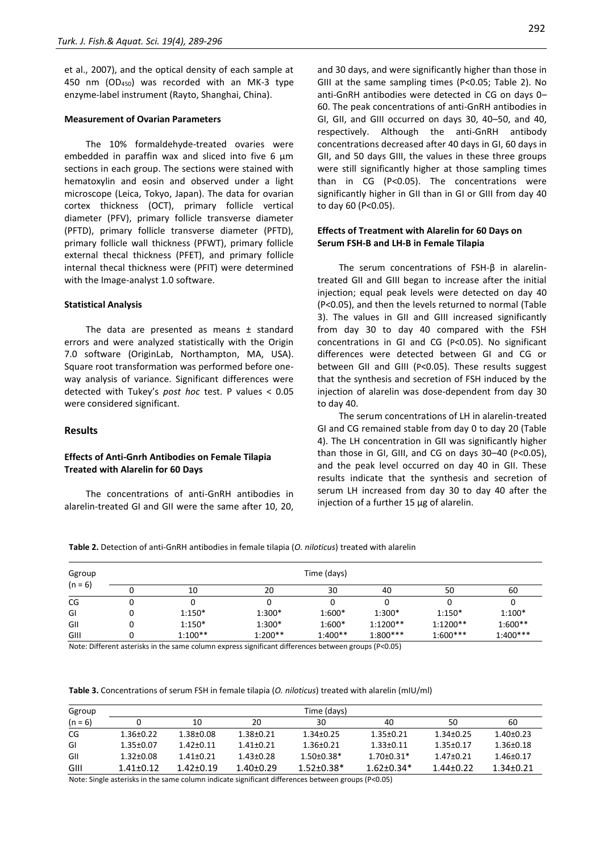et al., 2007), and the optical density of each sample at 450 nm (OD450) was recorded with an MK-3 type enzyme-label instrument (Rayto, Shanghai, China).

#### **Measurement of Ovarian Parameters**

The 10% formaldehyde-treated ovaries were embedded in paraffin wax and sliced into five 6 μm sections in each group. The sections were stained with hematoxylin and eosin and observed under a light microscope (Leica, Tokyo, Japan). The data for ovarian cortex thickness (OCT), primary follicle vertical diameter (PFV), primary follicle transverse diameter (PFTD), primary follicle transverse diameter (PFTD), primary follicle wall thickness (PFWT), primary follicle external thecal thickness (PFET), and primary follicle internal thecal thickness were (PFIT) were determined with the Image-analyst 1.0 software.

#### **Statistical Analysis**

The data are presented as means ± standard errors and were analyzed statistically with the Origin 7.0 software (OriginLab, Northampton, MA, USA). Square root transformation was performed before oneway analysis of variance. Significant differences were detected with Tukey's *post hoc* test. P values < 0.05 were considered significant.

## **Results**

## **Effects of Anti-Gnrh Antibodies on Female Tilapia Treated with Alarelin for 60 Days**

The concentrations of anti-GnRH antibodies in alarelin-treated GI and GII were the same after 10, 20, and 30 days, and were significantly higher than those in GIII at the same sampling times (P<0.05; Table 2). No anti-GnRH antibodies were detected in CG on days 0– 60. The peak concentrations of anti-GnRH antibodies in GI, GII, and GIII occurred on days 30, 40–50, and 40, respectively. Although the anti-GnRH antibody concentrations decreased after 40 days in GI, 60 days in GII, and 50 days GIII, the values in these three groups were still significantly higher at those sampling times than in CG (P<0.05). The concentrations were significantly higher in GII than in GI or GIII from day 40 to day 60 (P<0.05).

## **Effects of Treatment with Alarelin for 60 Days on Serum FSH-Β and LH-Β in Female Tilapia**

The serum concentrations of FSH-β in alarelintreated GII and GIII began to increase after the initial injection; equal peak levels were detected on day 40 (P<0.05), and then the levels returned to normal (Table 3). The values in GII and GIII increased significantly from day 30 to day 40 compared with the FSH concentrations in GI and CG (P<0.05). No significant differences were detected between GI and CG or between GII and GIII (P<0.05). These results suggest that the synthesis and secretion of FSH induced by the injection of alarelin was dose-dependent from day 30 to day 40.

The serum concentrations of LH in alarelin-treated GI and CG remained stable from day 0 to day 20 (Table 4). The LH concentration in GII was significantly higher than those in GI, GIII, and CG on days 30–40 (P<0.05), and the peak level occurred on day 40 in GII. These results indicate that the synthesis and secretion of serum LH increased from day 30 to day 40 after the injection of a further 15 μg of alarelin.

**Table 2.** Detection of anti-GnRH antibodies in female tilapia (*O. niloticus*) treated with alarelin

| Ggroup    | Time (days) |           |           |           |            |            |            |  |  |
|-----------|-------------|-----------|-----------|-----------|------------|------------|------------|--|--|
| $(n = 6)$ |             | 10        | 20        | 30        | 40         | 50         | 60         |  |  |
| CG        |             |           |           |           |            |            |            |  |  |
| GI        |             | $1:150*$  | 1:300*    | $1:600*$  | $1:300*$   | $1:150*$   | $1:100*$   |  |  |
| GII       |             | $1:150*$  | $1:300*$  | $1:600*$  | $1:1200**$ | $1:1200**$ | $1:600**$  |  |  |
| GIII      |             | $1:100**$ | $1:200**$ | $1:400**$ | $1:800***$ | $1:600***$ | $1:400***$ |  |  |

Note: Different asterisks in the same column express significant differences between groups (P<0.05)

**Table 3.** Concentrations of serum FSH in female tilapia (*O. niloticus*) treated with alarelin (mIU/ml)

| Ggroup    |                 | Time (days)     |                 |                  |                  |                 |                 |  |  |
|-----------|-----------------|-----------------|-----------------|------------------|------------------|-----------------|-----------------|--|--|
| $(n = 6)$ |                 | 10              | 20              | 30               | 40               | 50              | 60              |  |  |
| CG        | $1.36 \pm 0.22$ | $1.38 + 0.08$   | $1.38 + 0.21$   | $1.34 \pm 0.25$  | $1.35 \pm 0.21$  | $1.34 \pm 0.25$ | $1.40 \pm 0.23$ |  |  |
| GI        | $1.35 \pm 0.07$ | $1.42 + 0.11$   | $1.41 + 0.21$   | $1.36 \pm 0.21$  | $1.33 \pm 0.11$  | $1.35 \pm 0.17$ | $1.36 \pm 0.18$ |  |  |
| GII       | $1.32 \pm 0.08$ | $1.41 \pm 0.21$ | $1.43 \pm 0.28$ | $1.50 \pm 0.38*$ | $1.70 \pm 0.31*$ | $1.47 \pm 0.21$ | $1.46 \pm 0.17$ |  |  |
| GIII      | $1.41 + 0.12$   | $1.42 + 0.19$   | $1.40 + 0.29$   | $1.52 + 0.38*$   | $1.62 + 0.34*$   | $1.44 + 0.22$   | $1.34 + 0.21$   |  |  |

Note: Single asterisks in the same column indicate significant differences between groups (P<0.05)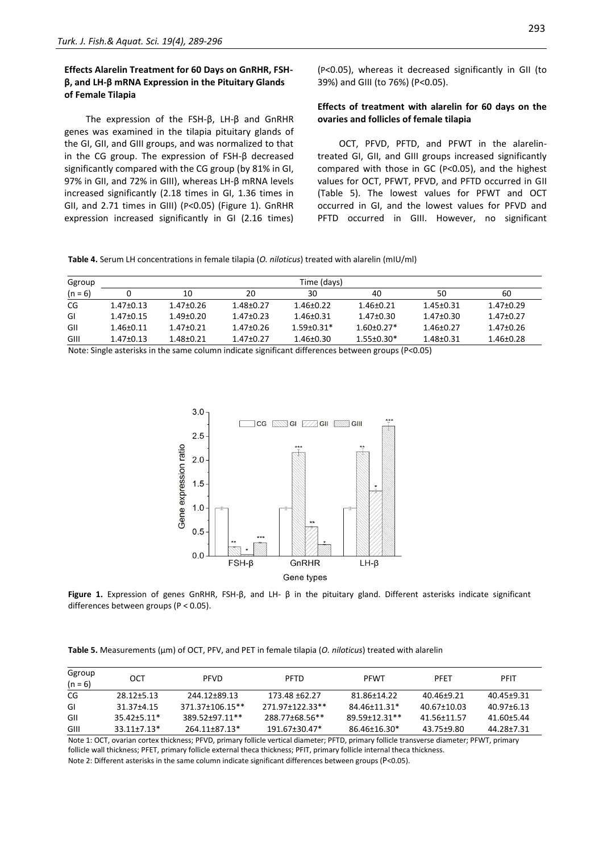# **Effects Alarelin Treatment for 60 Days on GnRHR, FSHβ, and LH-β mRNA Expression in the Pituitary Glands of Female Tilapia**

The expression of the FSH-β, LH-β and GnRHR genes was examined in the tilapia pituitary glands of the GI, GII, and GIII groups, and was normalized to that in the CG group. The expression of FSH-β decreased significantly compared with the CG group (by 81% in GI, 97% in GII, and 72% in GIII), whereas LH-β mRNA levels increased significantly (2.18 times in GI, 1.36 times in GII, and 2.71 times in GIII) (P<0.05) (Figure 1). GnRHR expression increased significantly in GI (2.16 times) (P<0.05), whereas it decreased significantly in GII (to 39%) and GIII (to 76%) (P<0.05).

# **Effects of treatment with alarelin for 60 days on the ovaries and follicles of female tilapia**

OCT, PFVD, PFTD, and PFWT in the alarelintreated GI, GII, and GIII groups increased significantly compared with those in GC (P<0.05), and the highest values for OCT, PFWT, PFVD, and PFTD occurred in GII (Table 5). The lowest values for PFWT and OCT occurred in GI, and the lowest values for PFVD and PFTD occurred in GIII. However, no significant

| Table 4. Serum LH concentrations in female tilapia (O. niloticus) treated with alarelin (mIU/ml) |  |  |  |
|--------------------------------------------------------------------------------------------------|--|--|--|
|--------------------------------------------------------------------------------------------------|--|--|--|

| Ggroup    | Time (days)     |               |                 |                 |                  |                 |                 |
|-----------|-----------------|---------------|-----------------|-----------------|------------------|-----------------|-----------------|
| $(n = 6)$ |                 | 10            | 20              | 30              | 40               | 50              | 60              |
| CG        | $1.47 \pm 0.13$ | 1.47±0.26     | $1.48 \pm 0.27$ | 1.46+0.22       | $1.46 \pm 0.21$  | $1.45 + 0.31$   | $1.47 \pm 0.29$ |
| GI        | $1.47 \pm 0.15$ | 1.49+0.20     | $1.47 \pm 0.23$ | $1.46 \pm 0.31$ | 1.47±0.30        | $1.47 \pm 0.30$ | $1.47 \pm 0.27$ |
| GII       | $1.46 \pm 0.11$ | 1.47+0.21     | $1.47 \pm 0.26$ | $1.59 + 0.31*$  | $1.60 \pm 0.27*$ | $1.46 \pm 0.27$ | $1.47 \pm 0.26$ |
| GIII      | $1.47 \pm 0.13$ | $1.48 + 0.21$ | $1.47 + 0.27$   | $1.46 \pm 0.30$ | $1.55 \pm 0.30*$ | $1.48 \pm 0.31$ | $1.46 \pm 0.28$ |

Note: Single asterisks in the same column indicate significant differences between groups (P<0.05)



**Figure 1.** Expression of genes GnRHR, FSH-β, and LH- β in the pituitary gland. Different asterisks indicate significant differences between groups (P < 0.05).

**Table 5.** Measurements (μm) of OCT, PFV, and PET in female tilapia (*O. niloticus*) treated with alarelin

| Ggroup<br>$(n = 6)$ | OCT             | <b>PFVD</b>     | <b>PFTD</b>     | <b>PFWT</b>   | PFFT        | <b>PFIT</b> |
|---------------------|-----------------|-----------------|-----------------|---------------|-------------|-------------|
| CG                  | 28.12+5.13      | 244.12±89.13    | 173.48 ±62.27   | 81.86±14.22   | 40.46±9.21  | 40.45+9.31  |
| GI                  | 31.37±4.15      | 371.37±106.15** | 271.97±122.33** | 84.46±11.31*  | 40.67±10.03 | 40.97+6.13  |
| GII                 | $35.42 + 5.11*$ | 389.52+97.11**  | 288.77±68.56**  | 89.59+12.31** | 41.56+11.57 | 41.60+5.44  |
| GIII                | $33.11 + 7.13*$ | 264.11+87.13*   | 191.67±30.47*   | 86.46±16.30*  | 43.75±9.80  | 44.28±7.31  |

Note 1: OCT, ovarian cortex thickness; PFVD, primary follicle vertical diameter; PFTD, primary follicle transverse diameter; PFWT, primary follicle wall thickness; PFET, primary follicle external theca thickness; PFIT, primary follicle internal theca thickness. Note 2: Different asterisks in the same column indicate significant differences between groups (P<0.05).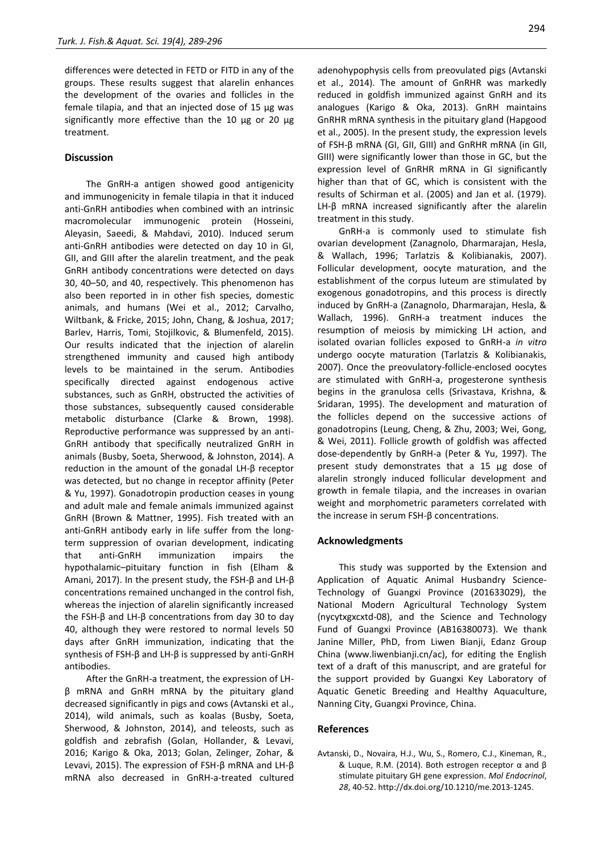differences were detected in FETD or FITD in any of the groups. These results suggest that alarelin enhances the development of the ovaries and follicles in the female tilapia, and that an injected dose of 15 μg was significantly more effective than the 10 μg or 20 μg treatment.

## **Discussion**

The GnRH-a antigen showed good antigenicity and immunogenicity in female tilapia in that it induced anti-GnRH antibodies when combined with an intrinsic macromolecular immunogenic protein (Hosseini, Aleyasin, Saeedi, & Mahdavi, 2010). Induced serum anti-GnRH antibodies were detected on day 10 in GI, GII, and GIII after the alarelin treatment, and the peak GnRH antibody concentrations were detected on days 30, 40–50, and 40, respectively. This phenomenon has also been reported in in other fish species, domestic animals, and humans (Wei et al., 2012; Carvalho, Wiltbank, & Fricke, 2015; John, Chang, & Joshua, 2017; Barlev, Harris, Tomi, Stojilkovic, & Blumenfeld, 2015). Our results indicated that the injection of alarelin strengthened immunity and caused high antibody levels to be maintained in the serum. Antibodies specifically directed against endogenous active substances, such as GnRH, obstructed the activities of those substances, subsequently caused considerable metabolic disturbance (Clarke & Brown, 1998). Reproductive performance was suppressed by an anti-GnRH antibody that specifically neutralized GnRH in animals (Busby, Soeta, Sherwood, & Johnston, 2014). A reduction in the amount of the gonadal LH-β receptor was detected, but no change in receptor affinity (Peter & Yu, 1997). Gonadotropin production ceases in young and adult male and female animals immunized against GnRH (Brown & Mattner, 1995). Fish treated with an anti-GnRH antibody early in life suffer from the longterm suppression of ovarian development, indicating that anti-GnRH immunization impairs the hypothalamic–pituitary function in fish (Elham & Amani, 2017). In the present study, the FSH-β and LH-β concentrations remained unchanged in the control fish, whereas the injection of alarelin significantly increased the FSH-β and LH-β concentrations from day 30 to day 40, although they were restored to normal levels 50 days after GnRH immunization, indicating that the synthesis of FSH-β and LH-β is suppressed by anti-GnRH antibodies.

After the GnRH-a treatment, the expression of LHβ mRNA and GnRH mRNA by the pituitary gland decreased significantly in pigs and cows (Avtanski et al., 2014), wild animals, such as koalas (Busby, Soeta, Sherwood, & Johnston, 2014), and teleosts, such as goldfish and zebrafish (Golan, Hollander, & Levavi, 2016; Karigo & Oka, 2013; Golan, Zelinger, Zohar, & Levavi, 2015). The expression of FSH-β mRNA and LH-β mRNA also decreased in GnRH-a-treated cultured adenohypophysis cells from preovulated pigs (Avtanski et al., 2014). The amount of GnRHR was markedly reduced in goldfish immunized against GnRH and its analogues (Karigo & Oka, 2013). GnRH maintains GnRHR mRNA synthesis in the pituitary gland (Hapgood et al., 2005). In the present study, the expression levels of FSH-β mRNA (GI, GII, GIII) and GnRHR mRNA (in GII, GIII) were significantly lower than those in GC, but the expression level of GnRHR mRNA in GI significantly higher than that of GC, which is consistent with the results of Schirman et al. (2005) and Jan et al. (1979). LH-β mRNA increased significantly after the alarelin treatment in this study.

GnRH-a is commonly used to stimulate fish ovarian development (Zanagnolo, Dharmarajan, Hesla, & Wallach, 1996; Tarlatzis & Kolibianakis, 2007). Follicular development, oocyte maturation, and the establishment of the corpus luteum are stimulated by exogenous gonadotropins, and this process is directly induced by GnRH-a (Zanagnolo, Dharmarajan, Hesla, & Wallach, 1996). GnRH-a treatment induces the resumption of meiosis by mimicking LH action, and isolated ovarian follicles exposed to GnRH-a *in vitro* undergo oocyte maturation (Tarlatzis & Kolibianakis, 2007). Once the preovulatory-follicle-enclosed oocytes are stimulated with GnRH-a, progesterone synthesis begins in the granulosa cells (Srivastava, Krishna, & Sridaran, 1995). The development and maturation of the follicles depend on the successive actions of gonadotropins (Leung, Cheng, & Zhu, 2003; Wei, Gong, & Wei, 2011). Follicle growth of goldfish was affected dose-dependently by GnRH-a (Peter & Yu, 1997). The present study demonstrates that a 15 μg dose of alarelin strongly induced follicular development and growth in female tilapia, and the increases in ovarian weight and morphometric parameters correlated with the increase in serum FSH-β concentrations.

## **Acknowledgments**

This study was supported by the Extension and Application of Aquatic Animal Husbandry Science-Technology of Guangxi Province (201633029), the National Modern Agricultural Technology System (nycytxgxcxtd-08), and the Science and Technology Fund of Guangxi Province (AB16380073). We thank Janine Miller, PhD, from Liwen Bianji, Edanz Group China (www.liwenbianji.cn/ac), for editing the English text of a draft of this manuscript, and are grateful for the support provided by Guangxi Key Laboratory of Aquatic Genetic Breeding and Healthy Aquaculture, Nanning City, Guangxi Province, China.

#### **References**

Avtanski, D., Novaira, H.J., Wu, S., Romero, C.J., Kineman, R., & Luque, R.M. (2014). Both estrogen receptor α and β stimulate pituitary GH gene expression. *Mol Endocrinol*, *28*, 40-52[. http://dx.doi.org/10.1210/me.2013-1245.](http://dx.doi.org/10.1210/me.2013-1245.)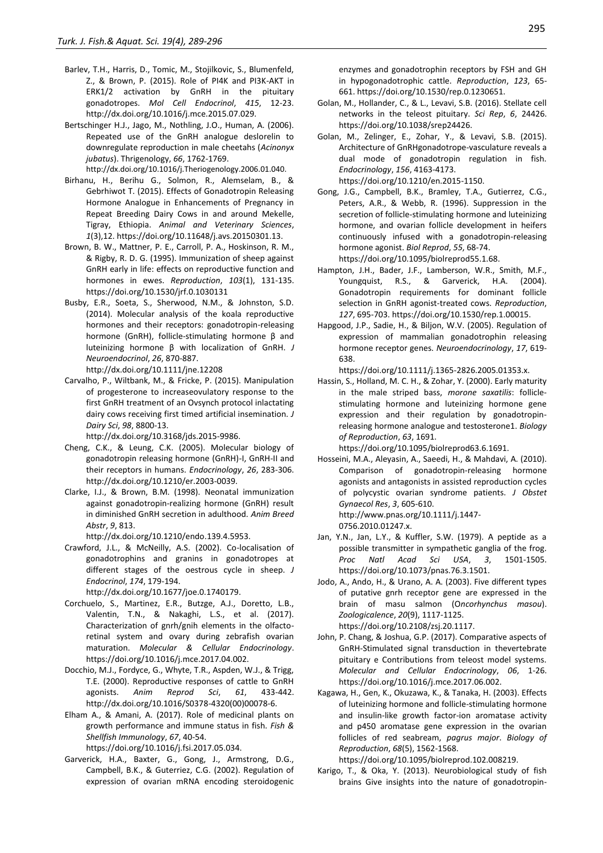- Barlev, T.H., Harris, D., Tomic, M., Stojilkovic, S., Blumenfeld, Z., & Brown, P. (2015). Role of PI4K and PI3K-AKT in ERK1/2 activation by GnRH in the pituitary gonadotropes. *Mol Cell Endocrinol*, *415*, 12-23. <http://dx.doi.org/10.1016/j.mce.2015.07.029.>
- Bertschinger H.J., Jago, M., Nothling, J.O., Human, A. (2006). Repeated use of the GnRH analogue deslorelin to downregulate reproduction in male cheetahs (*Acinonyx jubatus*). Thrigenology, *66*, 1762-1769.

<http://dx.doi.org/10.1016/j.Theriogenology.2006.01.040.> Birhanu, H., Berihu G., Solmon, R., Alemselam, B., &

- Gebrhiwot T. (2015). Effects of Gonadotropin Releasing Hormone Analogue in Enhancements of Pregnancy in Repeat Breeding Dairy Cows in and around Mekelle, Tigray, Ethiopia. *Animal and Veterinary Sciences*, *1*(3),12[. https://doi.org/10.11648/j.avs.20150301.13.](https://doi.org/10.11648/j.avs.20150301.13.)
- Brown, B. W., Mattner, P. E., Carroll, P. A., Hoskinson, R. M., & Rigby, R. D. G. (1995). Immunization of sheep against GnRH early in life: effects on reproductive function and hormones in ewes. *Reproduction*, *103*(1), 131-135. https://doi.org/10.1530/jrf.0.1030131
- Busby, E.R., Soeta, S., Sherwood, N.M., & Johnston, S.D. (2014). Molecular analysis of the koala reproductive hormones and their receptors: gonadotropin-releasing hormone (GnRH), follicle-stimulating hormone β and luteinizing hormone β with localization of GnRH. *J Neuroendocrinol*, *26*, 870-887. <http://dx.doi.org/10.1111/jne.12208>
- Carvalho, P., Wiltbank, M., & Fricke, P. (2015). Manipulation of progesterone to increaseovulatory response to the first GnRH treatment of an Ovsynch protocol inlactating dairy cows receiving first timed artificial insemination. *J Dairy Sci*, *98*, 8800-13.

<http://dx.doi.org/10.3168/jds.2015-9986.>

- Cheng, C.K., & Leung, C.K. (2005). Molecular biology of gonadotropin releasing hormone (GnRH)-I, GnRH-II and their receptors in humans. *Endocrinology*, *26*, 283-306. <http://dx.doi.org/10.1210/er.2003-0039.>
- Clarke, I.J., & Brown, B.M. (1998). Neonatal immunization against gonadotropin-realizing hormone (GnRH) result in diminished GnRH secretion in adulthood. *Anim Breed Abstr*, *9*, 813.

<http://dx.doi.org/10.1210/endo.139.4.5953.>

Crawford, J.L., & McNeilly, A.S. (2002). Co-localisation of gonadotrophins and granins in gonadotropes at different stages of the oestrous cycle in sheep. *J Endocrinol*, *174*, 179-194.

<http://dx.doi.org/10.1677/joe.0.1740179.>

- Corchuelo, S., Martinez, E.R., Butzge, A.J., Doretto, L.B., Valentin, T.N., & Nakaghi, L.S., et al. (2017). Characterization of gnrh/gnih elements in the olfactoretinal system and ovary during zebrafish ovarian maturation. *Molecular & Cellular Endocrinology*. https://doi.org/10.1016/j.mce.2017.04.002.
- Docchio, M.J., Fordyce, G., Whyte, T.R., Aspden, W.J., & Trigg, T.E. (2000). Reproductive responses of cattle to GnRH agonists. *Anim Reprod Sci*, *61*, 433-442. [http://dx.doi.org/10.1016/S0378-4320\(00\)00078-6.](http://dx.doi.org/10.1016/S0378-4320(00)00078-6.)
- Elham A., & Amani, A. (2017). Role of medicinal plants on growth performance and immune status in fish. *Fish & Shellfish Immunology*, *67*, 40-54. <https://doi.org/10.1016/j.fsi.2017.05.034.>
- Garverick, H.A., Baxter, G., Gong, J., Armstrong, D.G., Campbell, B.K., & Guterriez, C.G. (2002). Regulation of expression of ovarian mRNA encoding steroidogenic

enzymes and gonadotrophin receptors by FSH and GH in hypogonadotrophic cattle. *Reproduction*, *123*, 65- 661[. https://doi.org/10.1530/rep.0.1230651.](https://doi.org/10.1530/rep.0.1230651.)

- Golan, M., Hollander, C., & L., Levavi, S.B. (2016). Stellate cell networks in the teleost pituitary. *Sci Rep*, *6*, 24426. <https://doi.org/10.1038/srep24426.>
- Golan, M., Zelinger, E., Zohar, Y., & Levavi, S.B. (2015). Architecture of GnRHgonadotrope-vasculature reveals a dual mode of gonadotropin regulation in fish. *Endocrinology*, *156*, 4163-4173. <https://doi.org/10.1210/en.2015-1150.>
- Gong, J.G., Campbell, B.K., Bramley, T.A., Gutierrez, C.G., Peters, A.R., & Webb, R. (1996). Suppression in the secretion of follicle-stimulating hormone and luteinizing hormone, and ovarian follicle development in heifers continuously infused with a gonadotropin-releasing hormone agonist. *Biol Reprod*, *55*, 68-74. <https://doi.org/10.1095/biolreprod55.1.68.>

Hampton, J.H., Bader, J.F., Lamberson, W.R., Smith, M.F., Youngquist, R.S., & Garverick, H.A. (2004). Gonadotropin requirements for dominant follicle selection in GnRH agonist-treated cows. *Reproduction*, *127*, 695-703[. https://doi.org/10.1530/rep.1.00015.](https://doi.org/10.1530/rep.1.00015.)

Hapgood, J.P., Sadie, H., & Biljon, W.V. (2005). Regulation of expression of mammalian gonadotrophin releasing hormone receptor genes. *Neuroendocrinology*, *17*, 619- 638.

<https://doi.org/10.1111/j.1365-2826.2005.01353.x.>

Hassin, S., Holland, M. C. H., & Zohar, Y. (2000). Early maturity in the male striped bass, *morone saxatilis*: folliclestimulating hormone and luteinizing hormone gene expression and their regulation by gonadotropinreleasing hormone analogue and testosterone1. *Biology of Reproduction*, *63*, 1691.

https://doi.org/10.1095/biolreprod63.6.1691.

- Hosseini, M.A., Aleyasin, A., Saeedi, H., & Mahdavi, A. (2010). Comparison of gonadotropin-releasing hormone agonists and antagonists in assisted reproduction cycles of polycystic ovarian syndrome patients. *J Obstet Gynaecol Res*, *3*, 605-610. [http://www.pnas.org/10.1111/j.1447-](http://www.pnas.org/10.1111/j.1447-0756.2010.01247.x.) [0756.2010.01247.x.](http://www.pnas.org/10.1111/j.1447-0756.2010.01247.x.)
- Jan, Y.N., Jan, L.Y., & Kuffler, S.W. (1979). A peptide as a possible transmitter in sympathetic ganglia of the frog. *Proc Natl Acad Sci USA*, *3*, 1501-1505. <https://doi.org/10.1073/pnas.76.3.1501.>
- Jodo, A., Ando, H., & Urano, A. A. (2003). Five different types of putative gnrh receptor gene are expressed in the brain of masu salmon (O*ncorhynchus masou*). *Zoologicalence*, *20*(9), 1117-1125. https://doi.org/10.2108/zsj.20.1117.
- John, P. Chang, & Joshua, G.P. (2017). Comparative aspects of GnRH-Stimulated signal transduction in thevertebrate pituitary e Contributions from teleost model systems. *Molecular and Cellular Endocrinology*, *06*, 1-26. <https://doi.org/10.1016/j.mce.2017.06.002.>
- Kagawa, H., Gen, K., Okuzawa, K., & Tanaka, H. (2003). Effects of luteinizing hormone and follicle-stimulating hormone and insulin-like growth factor-ion aromatase activity and p450 aromatase gene expression in the ovarian follicles of red seabream, *pagrus major*. *Biology of Reproduction*, *68*(5), 1562-1568.

https://doi.org[/10.1095/biolreprod.102.008219.](https://doi.org/10.1095/biolreprod.102.008219)

Karigo, T., & Oka, Y. (2013). Neurobiological study of fish brains Give insights into the nature of gonadotropin